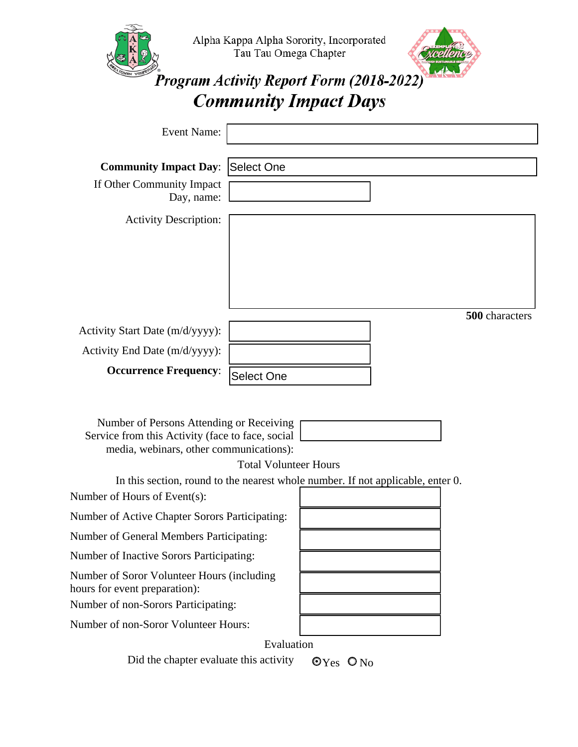|                                                                                                                                                                                                                                                                                            | Tau Tau Omega Chapter | Alpha Kappa Alpha Sorority, Incorporated<br><b>Program Activity Report Form (2018-2022)</b><br><b>Community Impact Days</b> |  |                |
|--------------------------------------------------------------------------------------------------------------------------------------------------------------------------------------------------------------------------------------------------------------------------------------------|-----------------------|-----------------------------------------------------------------------------------------------------------------------------|--|----------------|
| <b>Event Name:</b>                                                                                                                                                                                                                                                                         |                       |                                                                                                                             |  |                |
| <b>Community Impact Day:</b><br>If Other Community Impact<br>Day, name:<br><b>Activity Description:</b>                                                                                                                                                                                    | Select One            |                                                                                                                             |  |                |
|                                                                                                                                                                                                                                                                                            |                       |                                                                                                                             |  |                |
| Activity Start Date (m/d/yyyy):                                                                                                                                                                                                                                                            |                       |                                                                                                                             |  | 500 characters |
| Activity End Date (m/d/yyyy):                                                                                                                                                                                                                                                              |                       |                                                                                                                             |  |                |
| <b>Occurrence Frequency:</b>                                                                                                                                                                                                                                                               | <b>Select One</b>     |                                                                                                                             |  |                |
| Number of Persons Attending or Receiving<br>Service from this Activity (face to face, social<br>media, webinars, other communications):<br><b>Total Volunteer Hours</b><br>In this section, round to the nearest whole number. If not applicable, enter 0.<br>Number of Hours of Event(s): |                       |                                                                                                                             |  |                |
| Number of Active Chapter Sorors Participating:                                                                                                                                                                                                                                             |                       |                                                                                                                             |  |                |
| Number of General Members Participating:                                                                                                                                                                                                                                                   |                       |                                                                                                                             |  |                |
| Number of Inactive Sorors Participating:                                                                                                                                                                                                                                                   |                       |                                                                                                                             |  |                |
| Number of Soror Volunteer Hours (including<br>hours for event preparation):<br>Number of non-Sorors Participating:                                                                                                                                                                         |                       |                                                                                                                             |  |                |
| Number of non-Soror Volunteer Hours:                                                                                                                                                                                                                                                       |                       |                                                                                                                             |  |                |
| Evaluation                                                                                                                                                                                                                                                                                 |                       |                                                                                                                             |  |                |
| Did the chapter evaluate this activity<br>$\mathbf{\odot}_{\mathrm{Yes}}$ $\mathbf{\odot}_{\mathrm{No}}$                                                                                                                                                                                   |                       |                                                                                                                             |  |                |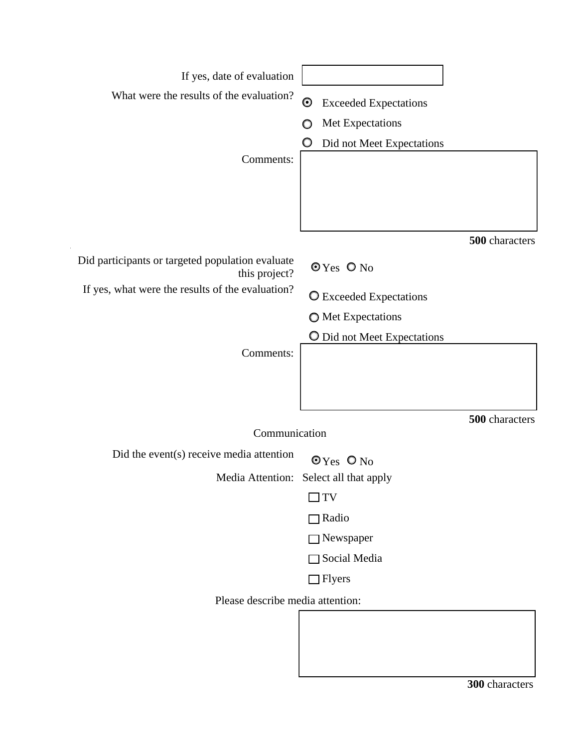| If yes, date of evaluation<br>What were the results of the evaluation?<br>Comments: | $\boldsymbol{\odot}$<br><b>Exceeded Expectations</b><br>Met Expectations<br>O<br>Did not Meet Expectations |  |  |  |
|-------------------------------------------------------------------------------------|------------------------------------------------------------------------------------------------------------|--|--|--|
| Did participants or targeted population evaluate                                    | 500 characters<br>$OY$ es $O$ No                                                                           |  |  |  |
| this project?<br>If yes, what were the results of the evaluation?                   |                                                                                                            |  |  |  |
|                                                                                     | O Exceeded Expectations                                                                                    |  |  |  |
|                                                                                     | <b>O</b> Met Expectations                                                                                  |  |  |  |
| Comments:                                                                           | O Did not Meet Expectations                                                                                |  |  |  |
| Communication                                                                       | 500 characters                                                                                             |  |  |  |
| Did the event(s) receive media attention                                            | $OY$ es $O$ No                                                                                             |  |  |  |
| Media Attention:                                                                    | Select all that apply                                                                                      |  |  |  |
|                                                                                     | JTV                                                                                                        |  |  |  |
|                                                                                     | $\Box$ Radio                                                                                               |  |  |  |
|                                                                                     | $\Box$ Newspaper                                                                                           |  |  |  |
|                                                                                     | Social Media                                                                                               |  |  |  |
|                                                                                     | $\Box$ Flyers                                                                                              |  |  |  |
| Please describe media attention:                                                    |                                                                                                            |  |  |  |
|                                                                                     |                                                                                                            |  |  |  |

**300** characters